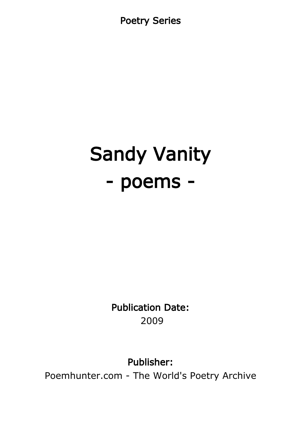Poetry Series

# Sandy Vanity - poems -

Publication Date: 2009

Publisher:

Poemhunter.com - The World's Poetry Archive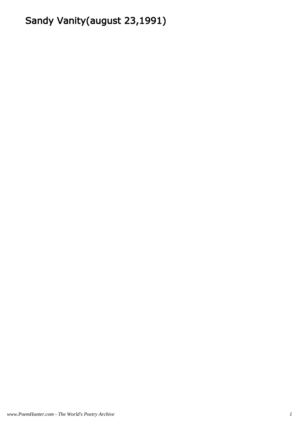# Sandy Vanity(august 23,1991)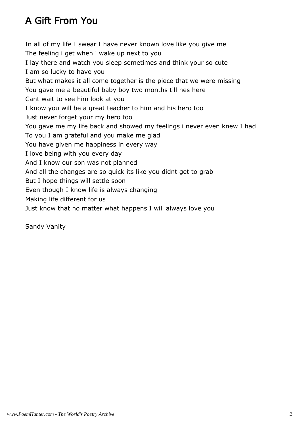# A Gift From You

In all of my life I swear I have never known love like you give me The feeling i get when i wake up next to you I lay there and watch you sleep sometimes and think your so cute I am so lucky to have you But what makes it all come together is the piece that we were missing You gave me a beautiful baby boy two months till hes here Cant wait to see him look at you I know you will be a great teacher to him and his hero too Just never forget your my hero too You gave me my life back and showed my feelings i never even knew I had To you I am grateful and you make me glad You have given me happiness in every way I love being with you every day And I know our son was not planned And all the changes are so quick its like you didnt get to grab But I hope things will settle soon Even though I know life is always changing Making life different for us Just know that no matter what happens I will always love you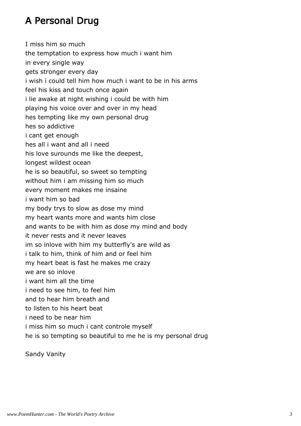# A Personal Drug

I miss him so much the temptation to express how much i want him in every single way gets stronger every day i wish i could tell him how much i want to be in his arms feel his kiss and touch once again i lie awake at night wishing i could be with him playing his voice over and over in my head hes tempting like my own personal drug hes so addictive i cant get enough hes all i want and all i need his love surounds me like the deepest, longest wildest ocean he is so beautiful, so sweet so tempting without him i am missing him so much every moment makes me insaine i want him so bad my body trys to slow as dose my mind my heart wants more and wants him close and wants to be with him as dose my mind and body it never rests and it never leaves im so inlove with him my butterfly's are wild as i talk to him, think of him and or feel him my heart beat is fast he makes me crazy we are so inlove i want him all the time i need to see him, to feel him and to hear him breath and to listen to his heart beat i need to be near him i miss him so much i cant controle myself he is so tempting so beautiful to me he is my personal drug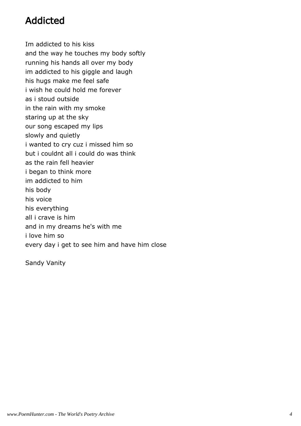## Addicted

Im addicted to his kiss and the way he touches my body softly running his hands all over my body im addicted to his giggle and laugh his hugs make me feel safe i wish he could hold me forever as i stoud outside in the rain with my smoke staring up at the sky our song escaped my lips slowly and quietly i wanted to cry cuz i missed him so but i couldnt all i could do was think as the rain fell heavier i began to think more im addicted to him his body his voice his everything all i crave is him and in my dreams he's with me i love him so every day i get to see him and have him close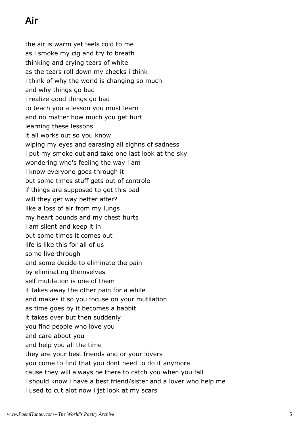# Air

the air is warm yet feels cold to me as i smoke my cig and try to breath thinking and crying tears of white as the tears roll down my cheeks i think i think of why the world is changing so much and why things go bad i realize good things go bad to teach you a lesson you must learn and no matter how much you get hurt learning these lessons it all works out so you know wiping my eyes and earasing all sighns of sadness i put my smoke out and take one last look at the sky wondering who's feeling the way i am i know everyone goes through it but some times stuff gets out of controle if things are supposed to get this bad will they get way better after? like a loss of air from my lungs my heart pounds and my chest hurts i am silent and keep it in but some times it comes out life is like this for all of us some live through and some decide to eliminate the pain by eliminating themselves self mutilation is one of them it takes away the other pain for a while and makes it so you focuse on your mutilation as time goes by it becomes a habbit it takes over but then suddenly you find people who love you and care about you and help you all the time they are your best friends and or your lovers you come to find that you dont need to do it anymore cause they will always be there to catch you when you fall i should know i have a best friend/sister and a lover who help me i used to cut alot now i jst look at my scars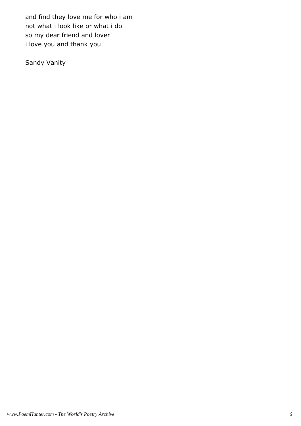and find they love me for who i am not what i look like or what i do so my dear friend and lover i love you and thank you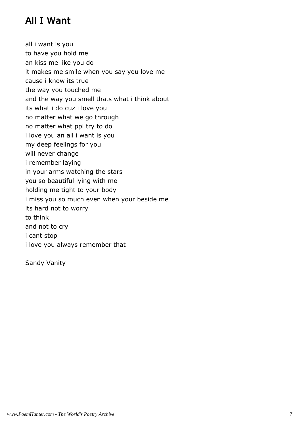# All I Want

all i want is you to have you hold me an kiss me like you do it makes me smile when you say you love me cause i know its true the way you touched me and the way you smell thats what i think about its what i do cuz i love you no matter what we go through no matter what ppl try to do i love you an all i want is you my deep feelings for you will never change i remember laying in your arms watching the stars you so beautiful lying with me holding me tight to your body i miss you so much even when your beside me its hard not to worry to think and not to cry i cant stop i love you always remember that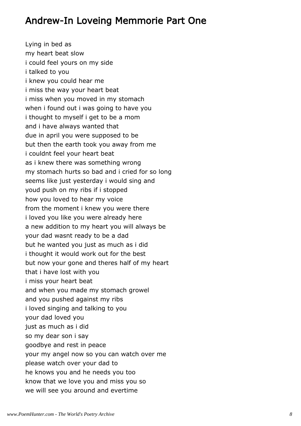#### Andrew-In Loveing Memmorie Part One

Lying in bed as my heart beat slow i could feel yours on my side i talked to you i knew you could hear me i miss the way your heart beat i miss when you moved in my stomach when i found out i was going to have you i thought to myself i get to be a mom and i have always wanted that due in april you were supposed to be but then the earth took you away from me i couldnt feel your heart beat as i knew there was something wrong my stomach hurts so bad and i cried for so long seems like just yesterday i would sing and youd push on my ribs if i stopped how you loved to hear my voice from the moment i knew you were there i loved you like you were already here a new addition to my heart you will always be your dad wasnt ready to be a dad but he wanted you just as much as i did i thought it would work out for the best but now your gone and theres half of my heart that i have lost with you i miss your heart beat and when you made my stomach growel and you pushed against my ribs i loved singing and talking to you your dad loved you just as much as i did so my dear son i say goodbye and rest in peace your my angel now so you can watch over me please watch over your dad to he knows you and he needs you too know that we love you and miss you so we will see you around and evertime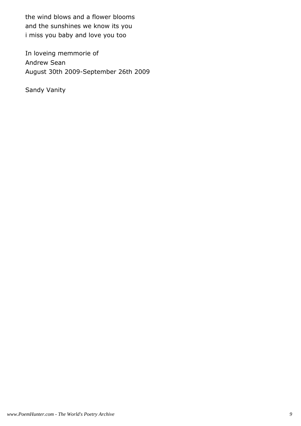the wind blows and a flower blooms and the sunshines we know its you i miss you baby and love you too

In loveing memmorie of Andrew Sean August 30th 2009-September 26th 2009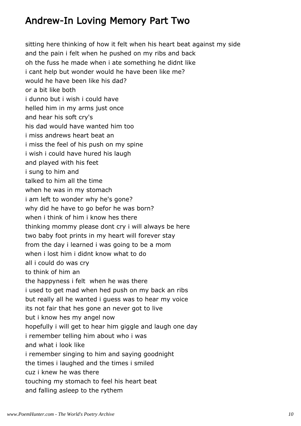#### Andrew-In Loving Memory Part Two

sitting here thinking of how it felt when his heart beat against my side and the pain i felt when he pushed on my ribs and back oh the fuss he made when i ate something he didnt like i cant help but wonder would he have been like me? would he have been like his dad? or a bit like both i dunno but i wish i could have helled him in my arms just once and hear his soft cry's his dad would have wanted him too i miss andrews heart beat an i miss the feel of his push on my spine i wish i could have hured his laugh and played with his feet i sung to him and talked to him all the time when he was in my stomach i am left to wonder why he's gone? why did he have to go befor he was born? when i think of him i know hes there thinking mommy please dont cry i will always be here two baby foot prints in my heart will forever stay from the day i learned i was going to be a mom when i lost him i didnt know what to do all i could do was cry to think of him an the happyness i felt when he was there i used to get mad when hed push on my back an ribs but really all he wanted i guess was to hear my voice its not fair that hes gone an never got to live but i know hes my angel now hopefully i will get to hear him giggle and laugh one day i remember telling him about who i was and what i look like i remember singing to him and saying goodnight the times i laughed and the times i smiled cuz i knew he was there touching my stomach to feel his heart beat and falling asleep to the rythem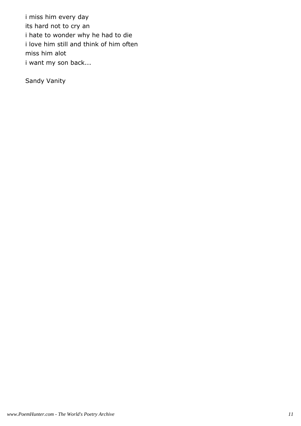i miss him every day its hard not to cry an i hate to wonder why he had to die i love him still and think of him often miss him alot i want my son back...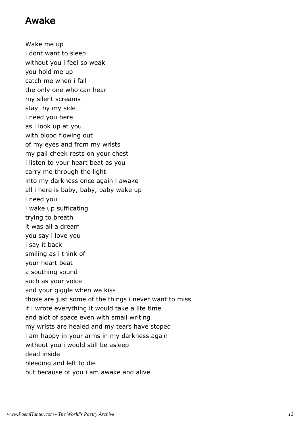#### Awake

Wake me up i dont want to sleep without you i feel so weak you hold me up catch me when i fall the only one who can hear my silent screams stay by my side i need you here as i look up at you with blood flowing out of my eyes and from my wrists my pail cheek rests on your chest i listen to your heart beat as you carry me through the light into my darkness once again i awake all i here is baby, baby, baby wake up i need you i wake up sufficating trying to breath it was all a dream you say i love you i say it back smiling as i think of your heart beat a southing sound such as your voice and your giggle when we kiss those are just some of the things i never want to miss if i wrote everything it would take a life time and alot of space even with small writing my wrists are healed and my tears have stoped i am happy in your arms in my darkness again without you i would still be asleep dead inside bleeding and left to die but because of you i am awake and alive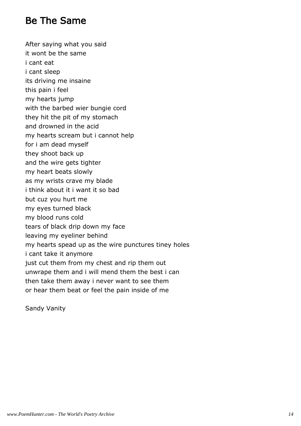#### Be The Same

After saying what you said

- it wont be the same
- i cant eat
- i cant sleep
- its driving me insaine
- this pain i feel
- my hearts jump
- with the barbed wier bungie cord
- they hit the pit of my stomach
- and drowned in the acid
- my hearts scream but i cannot help
- for i am dead myself
- they shoot back up
- and the wire gets tighter
- my heart beats slowly
- as my wrists crave my blade
- i think about it i want it so bad
- but cuz you hurt me
- my eyes turned black
- my blood runs cold
- tears of black drip down my face
- leaving my eyeliner behind
- my hearts spead up as the wire punctures tiney holes
- i cant take it anymore
- just cut them from my chest and rip them out
- unwrape them and i will mend them the best i can
- then take them away i never want to see them
- or hear them beat or feel the pain inside of me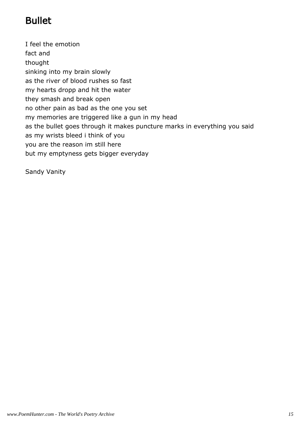# Bullet

I feel the emotion fact and thought sinking into my brain slowly as the river of blood rushes so fast my hearts dropp and hit the water they smash and break open no other pain as bad as the one you set my memories are triggered like a gun in my head as the bullet goes through it makes puncture marks in everything you said as my wrists bleed i think of you you are the reason im still here but my emptyness gets bigger everyday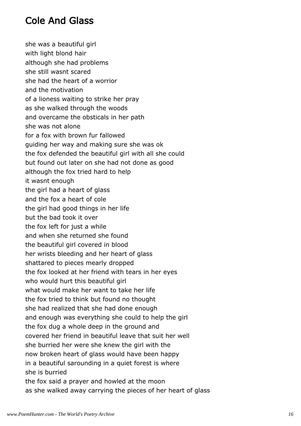#### Cole And Glass

she was a beautiful girl with light blond hair although she had problems she still wasnt scared she had the heart of a worrior and the motivation of a lioness waiting to strike her pray as she walked through the woods and overcame the obsticals in her path she was not alone for a fox with brown fur fallowed guiding her way and making sure she was ok the fox defended the beautiful girl with all she could but found out later on she had not done as good although the fox tried hard to help it wasnt enough the girl had a heart of glass and the fox a heart of cole the girl had good things in her life but the bad took it over the fox left for just a while and when she returned she found the beautiful girl covered in blood her wrists bleeding and her heart of glass shattared to pieces mearly dropped the fox looked at her friend with tears in her eyes who would hurt this beautiful girl what would make her want to take her life the fox tried to think but found no thought she had realized that she had done enough and enough was everything she could to help the girl the fox dug a whole deep in the ground and covered her friend in beautiful leave that suit her well she burried her were she knew the girl with the now broken heart of glass would have been happy in a beautiful sarounding in a quiet forest is where she is burried the fox said a prayer and howled at the moon as she walked away carrying the pieces of her heart of glass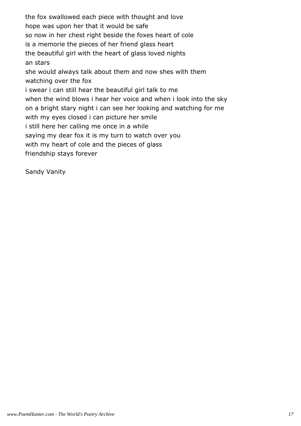the fox swallowed each piece with thought and love hope was upon her that it would be safe so now in her chest right beside the foxes heart of cole is a memorie the pieces of her friend glass heart the beautiful girl with the heart of glass loved nights an stars she would always talk about them and now shes with them watching over the fox i swear i can still hear the beautiful girl talk to me when the wind blows i hear her voice and when i look into the sky on a bright stary night i can see her looking and watching for me with my eyes closed i can picture her smile i still here her calling me once in a while saying my dear fox it is my turn to watch over you with my heart of cole and the pieces of glass friendship stays forever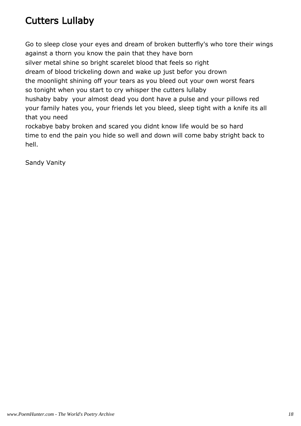# Cutters Lullaby

Go to sleep close your eyes and dream of broken butterfly's who tore their wings against a thorn you know the pain that they have born silver metal shine so bright scarelet blood that feels so right dream of blood trickeling down and wake up just befor you drown the moonlight shining off your tears as you bleed out your own worst fears so tonight when you start to cry whisper the cutters lullaby hushaby baby your almost dead you dont have a pulse and your pillows red your family hates you, your friends let you bleed, sleep tight with a knife its all that you need rockabye baby broken and scared you didnt know life would be so hard time to end the pain you hide so well and down will come baby stright back to hell.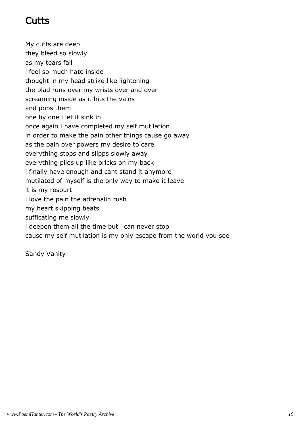#### Cutts

My cutts are deep they bleed so slowly as my tears fall i feel so much hate inside thought in my head strike like lightening the blad runs over my wrists over and over screaming inside as it hits the vains and pops them one by one i let it sink in once again i have completed my self mutilation in order to make the pain other things cause go away as the pain over powers my desire to care everything stops and slipps slowly away everything piles up like bricks on my back i finally have enough and cant stand it anymore mutilated of myself is the only way to make it leave it is my resourt i love the pain the adrenalin rush my heart skipping beats sufficating me slowly i deepen them all the time but i can never stop cause my self mutilation is my only escape from the world you see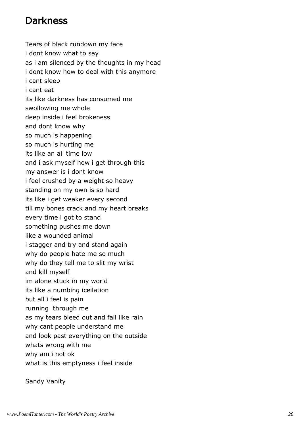#### **Darkness**

Tears of black rundown my face i dont know what to say as i am silenced by the thoughts in my head i dont know how to deal with this anymore i cant sleep i cant eat its like darkness has consumed me swollowing me whole deep inside i feel brokeness and dont know why so much is happening so much is hurting me its like an all time low and i ask myself how i get through this my answer is i dont know i feel crushed by a weight so heavy standing on my own is so hard its like i get weaker every second till my bones crack and my heart breaks every time i got to stand something pushes me down like a wounded animal i stagger and try and stand again why do people hate me so much why do they tell me to slit my wrist and kill myself im alone stuck in my world its like a numbing iceilation but all i feel is pain running through me as my tears bleed out and fall like rain why cant people understand me and look past everything on the outside whats wrong with me why am i not ok what is this emptyness i feel inside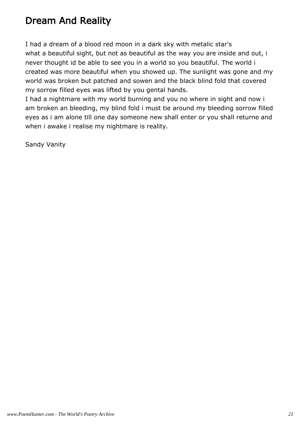## Dream And Reality

I had a dream of a blood red moon in a dark sky with metalic star's what a beautiful sight, but not as beautiful as the way you are inside and out, i never thought id be able to see you in a world so you beautiful. The world i created was more beautiful when you showed up. The sunlight was gone and my world was broken but patched and sowen and the black blind fold that covered my sorrow filled eyes was lifted by you gental hands.

I had a nightmare with my world burning and you no where in sight and now i am broken an bleeding, my blind fold i must tie around my bleeding sorrow filled eyes as i am alone till one day someone new shall enter or you shall returne and when i awake i realise my nightmare is reality.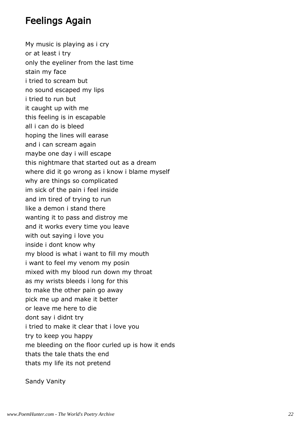#### Feelings Again

My music is playing as i cry or at least i try only the eyeliner from the last time stain my face i tried to scream but no sound escaped my lips i tried to run but it caught up with me this feeling is in escapable all i can do is bleed hoping the lines will earase and i can scream again maybe one day i will escape this nightmare that started out as a dream where did it go wrong as i know i blame myself why are things so complicated im sick of the pain i feel inside and im tired of trying to run like a demon i stand there wanting it to pass and distroy me and it works every time you leave with out saying i love you inside i dont know why my blood is what i want to fill my mouth i want to feel my venom my posin mixed with my blood run down my throat as my wrists bleeds i long for this to make the other pain go away pick me up and make it better or leave me here to die dont say i didnt try i tried to make it clear that i love you try to keep you happy me bleeding on the floor curled up is how it ends thats the tale thats the end thats my life its not pretend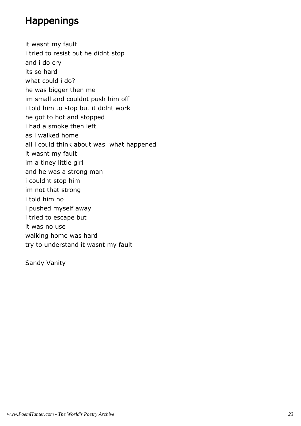### Happenings

it wasnt my fault i tried to resist but he didnt stop and i do cry its so hard what could i do? he was bigger then me im small and couldnt push him off i told him to stop but it didnt work he got to hot and stopped i had a smoke then left as i walked home all i could think about was what happened it wasnt my fault im a tiney little girl and he was a strong man i couldnt stop him im not that strong i told him no i pushed myself away i tried to escape but it was no use walking home was hard try to understand it wasnt my fault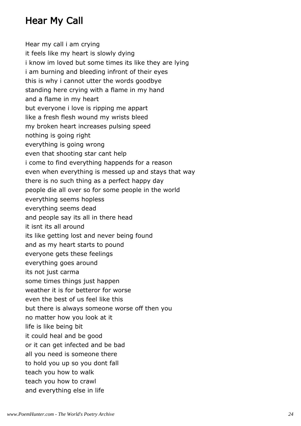## Hear My Call

Hear my call i am crying it feels like my heart is slowly dying i know im loved but some times its like they are lying i am burning and bleeding infront of their eyes this is why i cannot utter the words goodbye standing here crying with a flame in my hand and a flame in my heart but everyone i love is ripping me appart like a fresh flesh wound my wrists bleed my broken heart increases pulsing speed nothing is going right everything is going wrong even that shooting star cant help i come to find everything happends for a reason even when everything is messed up and stays that way there is no such thing as a perfect happy day people die all over so for some people in the world everything seems hopless everything seems dead and people say its all in there head it isnt its all around its like getting lost and never being found and as my heart starts to pound everyone gets these feelings everything goes around its not just carma some times things just happen weather it is for betteror for worse even the best of us feel like this but there is always someone worse off then you no matter how you look at it life is like being bit it could heal and be good or it can get infected and be bad all you need is someone there to hold you up so you dont fall teach you how to walk teach you how to crawl and everything else in life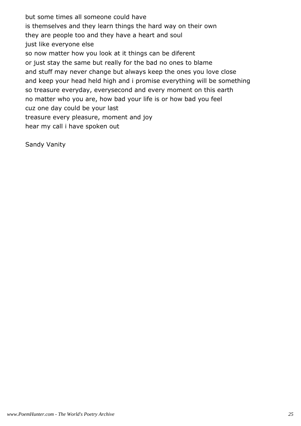but some times all someone could have is themselves and they learn things the hard way on their own they are people too and they have a heart and soul just like everyone else so now matter how you look at it things can be diferent or just stay the same but really for the bad no ones to blame and stuff may never change but always keep the ones you love close and keep your head held high and i promise everything will be something so treasure everyday, everysecond and every moment on this earth no matter who you are, how bad your life is or how bad you feel cuz one day could be your last treasure every pleasure, moment and joy hear my call i have spoken out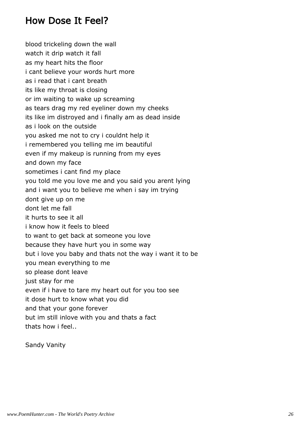#### How Dose It Feel?

blood trickeling down the wall watch it drip watch it fall as my heart hits the floor i cant believe your words hurt more as i read that i cant breath its like my throat is closing or im waiting to wake up screaming as tears drag my red eyeliner down my cheeks its like im distroyed and i finally am as dead inside as i look on the outside you asked me not to cry i couldnt help it i remembered you telling me im beautiful even if my makeup is running from my eyes and down my face sometimes i cant find my place you told me you love me and you said you arent lying and i want you to believe me when i say im trying dont give up on me dont let me fall it hurts to see it all i know how it feels to bleed to want to get back at someone you love because they have hurt you in some way but i love you baby and thats not the way i want it to be you mean everything to me so please dont leave just stay for me even if i have to tare my heart out for you too see it dose hurt to know what you did and that your gone forever but im still inlove with you and thats a fact thats how i feel..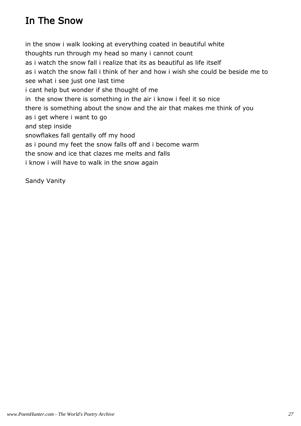# In The Snow

in the snow i walk looking at everything coated in beautiful white thoughts run through my head so many i cannot count as i watch the snow fall i realize that its as beautiful as life itself as i watch the snow fall i think of her and how i wish she could be beside me to see what i see just one last time i cant help but wonder if she thought of me in the snow there is something in the air i know i feel it so nice there is something about the snow and the air that makes me think of you as i get where i want to go and step inside snowflakes fall gentally off my hood as i pound my feet the snow falls off and i become warm the snow and ice that clazes me melts and falls i know i will have to walk in the snow again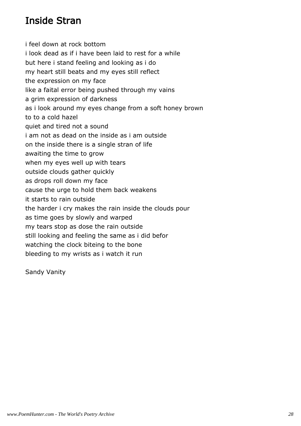#### Inside Stran

i feel down at rock bottom i look dead as if i have been laid to rest for a while but here i stand feeling and looking as i do my heart still beats and my eyes still reflect the expression on my face like a faital error being pushed through my vains a grim expression of darkness as i look around my eyes change from a soft honey brown to to a cold hazel quiet and tired not a sound i am not as dead on the inside as i am outside on the inside there is a single stran of life awaiting the time to grow when my eyes well up with tears outside clouds gather quickly as drops roll down my face cause the urge to hold them back weakens it starts to rain outside the harder i cry makes the rain inside the clouds pour as time goes by slowly and warped my tears stop as dose the rain outside still looking and feeling the same as i did befor watching the clock biteing to the bone bleeding to my wrists as i watch it run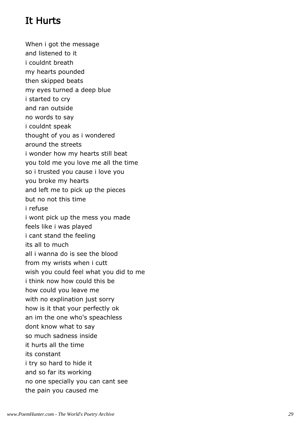# It Hurts

When i got the message and listened to it i couldnt breath my hearts pounded then skipped beats my eyes turned a deep blue i started to cry and ran outside no words to say i couldnt speak thought of you as i wondered around the streets i wonder how my hearts still beat you told me you love me all the time so i trusted you cause i love you you broke my hearts and left me to pick up the pieces but no not this time i refuse i wont pick up the mess you made feels like i was played i cant stand the feeling its all to much all i wanna do is see the blood from my wrists when i cutt wish you could feel what you did to me i think now how could this be how could you leave me with no explination just sorry how is it that your perfectly ok an im the one who's speachless dont know what to say so much sadness inside it hurts all the time its constant i try so hard to hide it and so far its working no one specially you can cant see the pain you caused me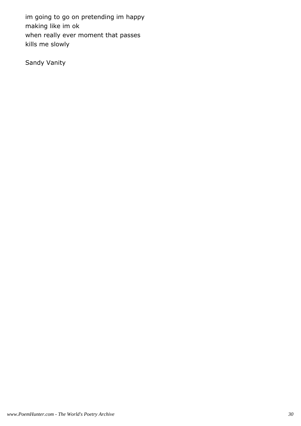im going to go on pretending im happy making like im ok when really ever moment that passes kills me slowly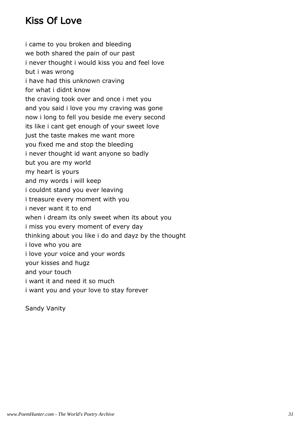## Kiss Of Love

i came to you broken and bleeding we both shared the pain of our past i never thought i would kiss you and feel love but i was wrong i have had this unknown craving for what i didnt know the craving took over and once i met you and you said i love you my craving was gone now i long to fell you beside me every second its like i cant get enough of your sweet love just the taste makes me want more you fixed me and stop the bleeding i never thought id want anyone so badly but you are my world my heart is yours and my words i will keep i couldnt stand you ever leaving i treasure every moment with you i never want it to end when i dream its only sweet when its about you i miss you every moment of every day thinking about you like i do and dayz by the thought i love who you are i love your voice and your words your kisses and hugz and your touch i want it and need it so much i want you and your love to stay forever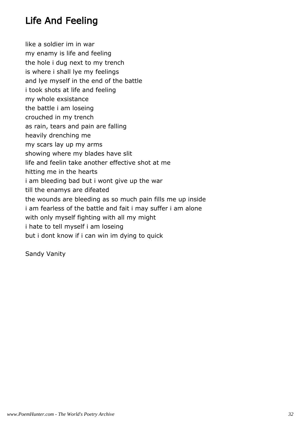# Life And Feeling

like a soldier im in war my enamy is life and feeling the hole i dug next to my trench is where i shall lye my feelings and lye myself in the end of the battle i took shots at life and feeling my whole exsistance the battle i am loseing crouched in my trench as rain, tears and pain are falling heavily drenching me my scars lay up my arms showing where my blades have slit life and feelin take another effective shot at me hitting me in the hearts i am bleeding bad but i wont give up the war till the enamys are difeated the wounds are bleeding as so much pain fills me up inside i am fearless of the battle and fait i may suffer i am alone with only myself fighting with all my might i hate to tell myself i am loseing but i dont know if i can win im dying to quick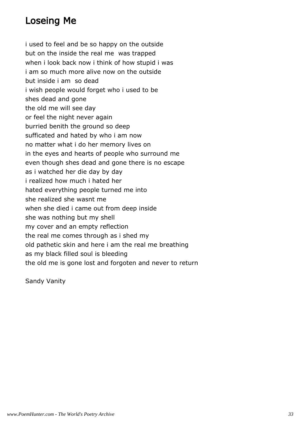#### Loseing Me

i used to feel and be so happy on the outside but on the inside the real me was trapped when i look back now i think of how stupid i was i am so much more alive now on the outside but inside i am so dead i wish people would forget who i used to be shes dead and gone the old me will see day or feel the night never again burried benith the ground so deep sufficated and hated by who i am now no matter what i do her memory lives on in the eyes and hearts of people who surround me even though shes dead and gone there is no escape as i watched her die day by day i realized how much i hated her hated everything people turned me into she realized she wasnt me when she died i came out from deep inside she was nothing but my shell my cover and an empty reflection the real me comes through as i shed my old pathetic skin and here i am the real me breathing as my black filled soul is bleeding the old me is gone lost and forgoten and never to return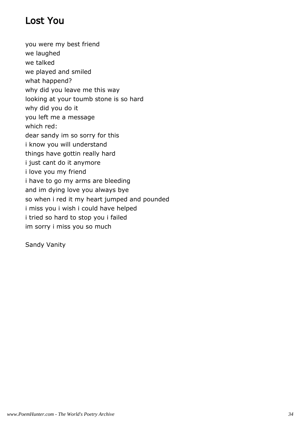## Lost You

you were my best friend we laughed we talked we played and smiled what happend? why did you leave me this way looking at your toumb stone is so hard why did you do it you left me a message which red: dear sandy im so sorry for this i know you will understand things have gottin really hard i just cant do it anymore i love you my friend i have to go my arms are bleeding and im dying love you always bye so when i red it my heart jumped and pounded i miss you i wish i could have helped i tried so hard to stop you i failed im sorry i miss you so much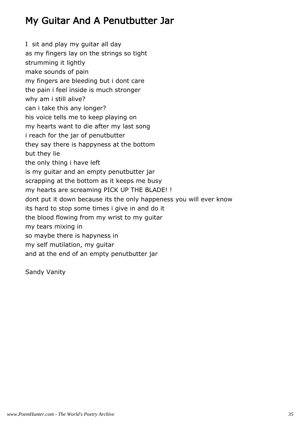## My Guitar And A Penutbutter Jar

I sit and play my guitar all day as my fingers lay on the strings so tight strumming it lightly make sounds of pain my fingers are bleeding but i dont care the pain i feel inside is much stronger why am i still alive? can i take this any longer? his voice tells me to keep playing on my hearts want to die after my last song i reach for the jar of penutbutter they say there is happyness at the bottom but they lie the only thing i have left is my guitar and an empty penutbutter jar scrapping at the bottom as it keeps me busy my hearts are screaming PICK UP THE BLADE! ! dont put it down because its the only happeness you will ever know its hard to stop some times i give in and do it the blood flowing from my wrist to my guitar my tears mixing in so maybe there is hapyness in my self mutilation, my guitar and at the end of an empty penutbutter jar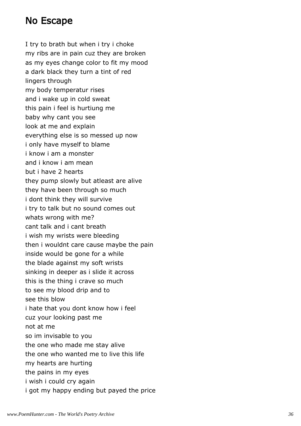#### No Escape

I try to brath but when i try i choke my ribs are in pain cuz they are broken as my eyes change color to fit my mood a dark black they turn a tint of red lingers through my body temperatur rises and i wake up in cold sweat this pain i feel is hurtiung me baby why cant you see look at me and explain everything else is so messed up now i only have myself to blame i know i am a monster and i know i am mean but i have 2 hearts they pump slowly but atleast are alive they have been through so much i dont think they will survive i try to talk but no sound comes out whats wrong with me? cant talk and i cant breath i wish my wrists were bleeding then i wouldnt care cause maybe the pain inside would be gone for a while the blade against my soft wrists sinking in deeper as i slide it across this is the thing i crave so much to see my blood drip and to see this blow i hate that you dont know how i feel cuz your looking past me not at me so im invisable to you the one who made me stay alive the one who wanted me to live this life my hearts are hurting the pains in my eyes i wish i could cry again i got my happy ending but payed the price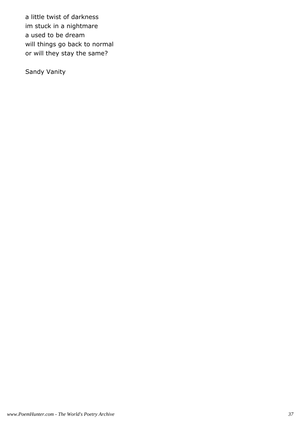a little twist of darkness im stuck in a nightmare a used to be dream will things go back to normal or will they stay the same?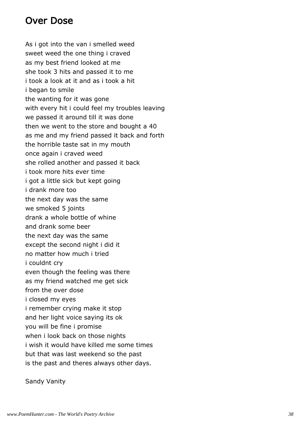#### Over Dose

As i got into the van i smelled weed sweet weed the one thing i craved as my best friend looked at me she took 3 hits and passed it to me i took a look at it and as i took a hit i began to smile the wanting for it was gone with every hit i could feel my troubles leaving we passed it around till it was done then we went to the store and bought a 40 as me and my friend passed it back and forth the horrible taste sat in my mouth once again i craved weed she rolled another and passed it back i took more hits ever time i got a little sick but kept going i drank more too the next day was the same we smoked 5 joints drank a whole bottle of whine and drank some beer the next day was the same except the second night i did it no matter how much i tried i couldnt cry even though the feeling was there as my friend watched me get sick from the over dose i closed my eyes i remember crying make it stop and her light voice saying its ok you will be fine i promise when i look back on those nights i wish it would have killed me some times but that was last weekend so the past is the past and theres always other days.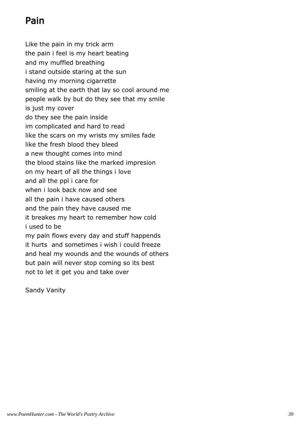# Pain

Like the pain in my trick arm the pain i feel is my heart beating and my muffled breathing i stand outside staring at the sun having my morning cigarrette smiling at the earth that lay so cool around me people walk by but do they see that my smile is just my cover do they see the pain inside im complicated and hard to read like the scars on my wrists my smiles fade like the fresh blood they bleed a new thought comes into mind the blood stains like the marked impresion on my heart of all the things i love and all the ppl i care for when i look back now and see all the pain i have caused others and the pain they have caused me it breakes my heart to remember how cold i used to be my pain flows every day and stuff happends it hurts and sometimes i wish i could freeze and heal my wounds and the wounds of others but pain will never stop coming so its best not to let it get you and take over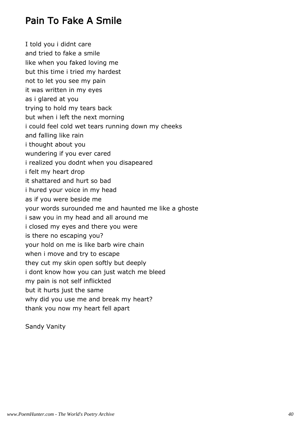### Pain To Fake A Smile

I told you i didnt care and tried to fake a smile like when you faked loving me but this time i tried my hardest not to let you see my pain it was written in my eyes as i glared at you trying to hold my tears back but when i left the next morning i could feel cold wet tears running down my cheeks and falling like rain i thought about you wundering if you ever cared i realized you dodnt when you disapeared i felt my heart drop it shattared and hurt so bad i hured your voice in my head as if you were beside me your words surounded me and haunted me like a ghoste i saw you in my head and all around me i closed my eyes and there you were is there no escaping you? your hold on me is like barb wire chain when i move and try to escape they cut my skin open softly but deeply i dont know how you can just watch me bleed my pain is not self inflickted but it hurts just the same why did you use me and break my heart? thank you now my heart fell apart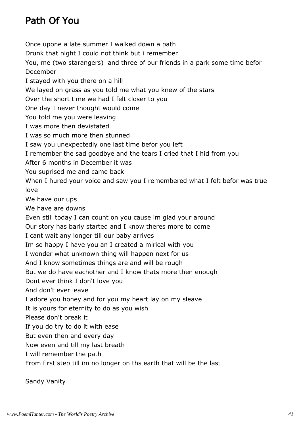# Path Of You

Once upone a late summer I walked down a path Drunk that night I could not think but i remember You, me (two starangers) and three of our friends in a park some time befor December I stayed with you there on a hill We layed on grass as you told me what you knew of the stars Over the short time we had I felt closer to you One day I never thought would come You told me you were leaving I was more then devistated I was so much more then stunned I saw you unexpectedly one last time befor you left I remember the sad goodbye and the tears I cried that I hid from you After 6 months in December it was You suprised me and came back When I hured your voice and saw you I remembered what I felt befor was true love We have our ups We have are downs Even still today I can count on you cause im glad your around Our story has barly started and I know theres more to come I cant wait any longer till our baby arrives Im so happy I have you an I created a mirical with you I wonder what unknown thing will happen next for us And I know sometimes things are and will be rough But we do have eachother and I know thats more then enough Dont ever think I don't love you And don't ever leave I adore you honey and for you my heart lay on my sleave It is yours for eternity to do as you wish Please don't break it If you do try to do it with ease But even then and every day Now even and till my last breath I will remember the path From first step till im no longer on ths earth that will be the last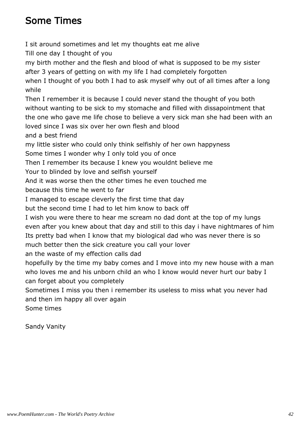## Some Times

I sit around sometimes and let my thoughts eat me alive Till one day I thought of you my birth mother and the flesh and blood of what is supposed to be my sister after 3 years of getting on with my life I had completely forgotten when I thought of you both I had to ask myself why out of all times after a long while Then I remember it is because I could never stand the thought of you both without wanting to be sick to my stomache and filled with dissapointment that the one who gave me life chose to believe a very sick man she had been with an loved since I was six over her own flesh and blood and a best friend my little sister who could only think selfishly of her own happyness Some times I wonder why I only told you of once Then I remember its because I knew you wouldnt believe me Your to blinded by love and selfish yourself And it was worse then the other times he even touched me because this time he went to far I managed to escape cleverly the first time that day but the second time I had to let him know to back off I wish you were there to hear me scream no dad dont at the top of my lungs even after you knew about that day and still to this day i have nightmares of him Its pretty bad when I know that my biological dad who was never there is so much better then the sick creature you call your lover an the waste of my effection calls dad hopefully by the time my baby comes and I move into my new house with a man who loves me and his unborn child an who I know would never hurt our baby I can forget about you completely Sometimes I miss you then i remember its useless to miss what you never had and then im happy all over again

Sandy Vanity

Some times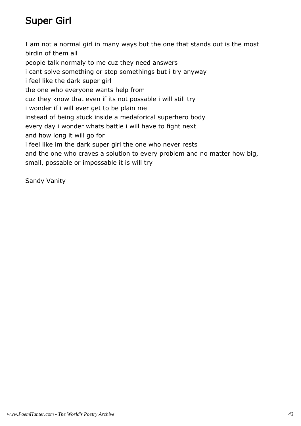# Super Girl

I am not a normal girl in many ways but the one that stands out is the most birdin of them all people talk normaly to me cuz they need answers i cant solve something or stop somethings but i try anyway i feel like the dark super girl the one who everyone wants help from cuz they know that even if its not possable i will still try i wonder if i will ever get to be plain me instead of being stuck inside a medaforical superhero body every day i wonder whats battle i will have to fight next and how long it will go for i feel like im the dark super girl the one who never rests and the one who craves a solution to every problem and no matter how big, small, possable or impossable it is will try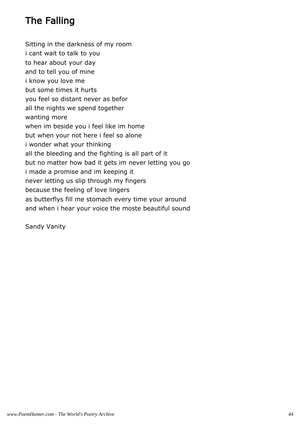# The Falling

Sitting in the darkness of my room i cant wait to talk to you to hear about your day and to tell you of mine i know you love me but some times it hurts you feel so distant never as befor all the nights we spend together wanting more when im beside you i feel like im home but when your not here i feel so alone i wonder what your thinking all the bleeding and the fighting is all part of it but no matter how bad it gets im never letting you go i made a promise and im keeping it never letting us slip through my fingers because the feeling of love lingers as butterflys fill me stomach every time your around and when i hear your voice the moste beautiful sound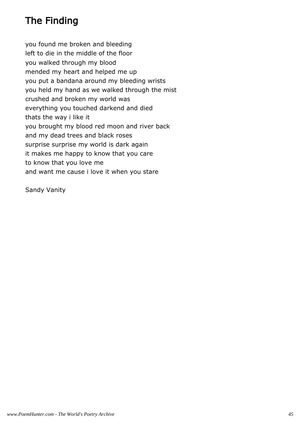# The Finding

you found me broken and bleeding left to die in the middle of the floor you walked through my blood mended my heart and helped me up you put a bandana around my bleeding wrists you held my hand as we walked through the mist crushed and broken my world was everything you touched darkend and died thats the way i like it you brought my blood red moon and river back and my dead trees and black roses surprise surprise my world is dark again it makes me happy to know that you care to know that you love me and want me cause i love it when you stare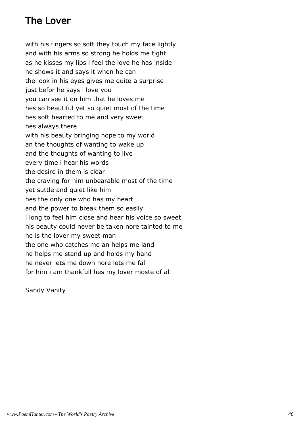#### The Lover

with his fingers so soft they touch my face lightly and with his arms so strong he holds me tight as he kisses my lips i feel the love he has inside he shows it and says it when he can the look in his eyes gives me quite a surprise just befor he says i love you you can see it on him that he loves me hes so beautiful yet so quiet most of the time hes soft hearted to me and very sweet hes always there with his beauty bringing hope to my world an the thoughts of wanting to wake up and the thoughts of wanting to live every time i hear his words the desire in them is clear the craving for him unbearable most of the time yet suttle and quiet like him hes the only one who has my heart and the power to break them so easily i long to feel him close and hear his voice so sweet his beauty could never be taken nore tainted to me he is the lover my sweet man the one who catches me an helps me land he helps me stand up and holds my hand he never lets me down nore lets me fall for him i am thankfull hes my lover moste of all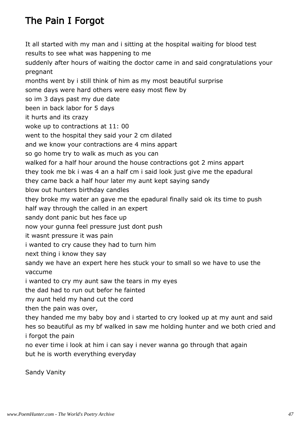# The Pain I Forgot

It all started with my man and i sitting at the hospital waiting for blood test results to see what was happening to me suddenly after hours of waiting the doctor came in and said congratulations your pregnant months went by i still think of him as my most beautiful surprise some days were hard others were easy most flew by so im 3 days past my due date been in back labor for 5 days it hurts and its crazy woke up to contractions at 11: 00 went to the hospital they said your 2 cm dilated and we know your contractions are 4 mins appart so go home try to walk as much as you can walked for a half hour around the house contractions got 2 mins appart they took me bk i was 4 an a half cm i said look just give me the epadural they came back a half hour later my aunt kept saying sandy blow out hunters birthday candles they broke my water an gave me the epadural finally said ok its time to push half way through the called in an expert sandy dont panic but hes face up now your gunna feel pressure just dont push it wasnt pressure it was pain i wanted to cry cause they had to turn him next thing i know they say sandy we have an expert here hes stuck your to small so we have to use the vaccume i wanted to cry my aunt saw the tears in my eyes the dad had to run out befor he fainted my aunt held my hand cut the cord then the pain was over, they handed me my baby boy and i started to cry looked up at my aunt and said hes so beautiful as my bf walked in saw me holding hunter and we both cried and i forgot the pain no ever time i look at him i can say i never wanna go through that again but he is worth everything everyday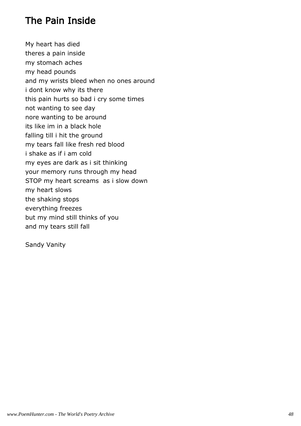#### The Pain Inside

My heart has died theres a pain inside my stomach aches my head pounds and my wrists bleed when no ones around i dont know why its there this pain hurts so bad i cry some times not wanting to see day nore wanting to be around its like im in a black hole falling till i hit the ground my tears fall like fresh red blood i shake as if i am cold my eyes are dark as i sit thinking your memory runs through my head STOP my heart screams as i slow down my heart slows the shaking stops everything freezes but my mind still thinks of you and my tears still fall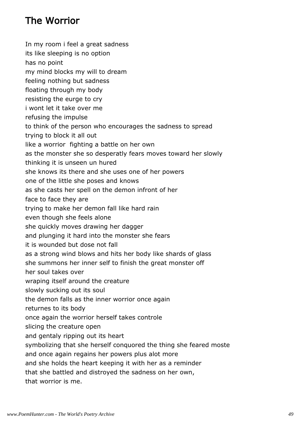## The Worrior

In my room i feel a great sadness its like sleeping is no option has no point my mind blocks my will to dream feeling nothing but sadness floating through my body resisting the eurge to cry i wont let it take over me refusing the impulse to think of the person who encourages the sadness to spread trying to block it all out like a worrior fighting a battle on her own as the monster she so desperatly fears moves toward her slowly thinking it is unseen un hured she knows its there and she uses one of her powers one of the little she poses and knows as she casts her spell on the demon infront of her face to face they are trying to make her demon fall like hard rain even though she feels alone she quickly moves drawing her dagger and plunging it hard into the monster she fears it is wounded but dose not fall as a strong wind blows and hits her body like shards of glass she summons her inner self to finish the great monster off her soul takes over wraping itself around the creature slowly sucking out its soul the demon falls as the inner worrior once again returnes to its body once again the worrior herself takes controle slicing the creature open and gentaly ripping out its heart symbolizing that she herself conquored the thing she feared moste and once again regains her powers plus alot more and she holds the heart keeping it with her as a reminder that she battled and distroyed the sadness on her own, that worrior is me.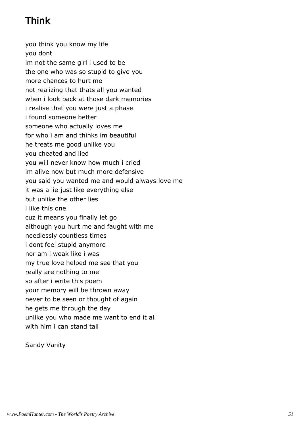# Think

you think you know my life you dont im not the same girl i used to be the one who was so stupid to give you more chances to hurt me not realizing that thats all you wanted when i look back at those dark memories i realise that you were just a phase i found someone better someone who actually loves me for who i am and thinks im beautiful he treats me good unlike you you cheated and lied you will never know how much i cried im alive now but much more defensive you said you wanted me and would always love me it was a lie just like everything else but unlike the other lies i like this one cuz it means you finally let go although you hurt me and faught with me needlessly countless times i dont feel stupid anymore nor am i weak like i was my true love helped me see that you really are nothing to me so after i write this poem your memory will be thrown away never to be seen or thought of again he gets me through the day unlike you who made me want to end it all with him i can stand tall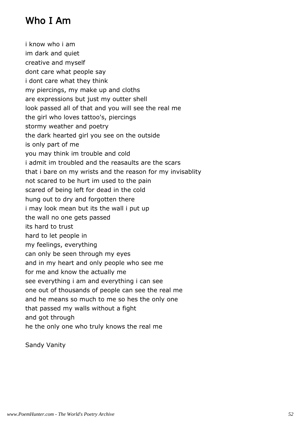### Who I Am

i know who i am im dark and quiet creative and myself dont care what people say i dont care what they think my piercings, my make up and cloths are expressions but just my outter shell look passed all of that and you will see the real me the girl who loves tattoo's, piercings stormy weather and poetry the dark hearted girl you see on the outside is only part of me you may think im trouble and cold i admit im troubled and the reasaults are the scars that i bare on my wrists and the reason for my invisablity not scared to be hurt im used to the pain scared of being left for dead in the cold hung out to dry and forgotten there i may look mean but its the wall i put up the wall no one gets passed its hard to trust hard to let people in my feelings, everything can only be seen through my eyes and in my heart and only people who see me for me and know the actually me see everything i am and everything i can see one out of thousands of people can see the real me and he means so much to me so hes the only one that passed my walls without a fight and got through he the only one who truly knows the real me